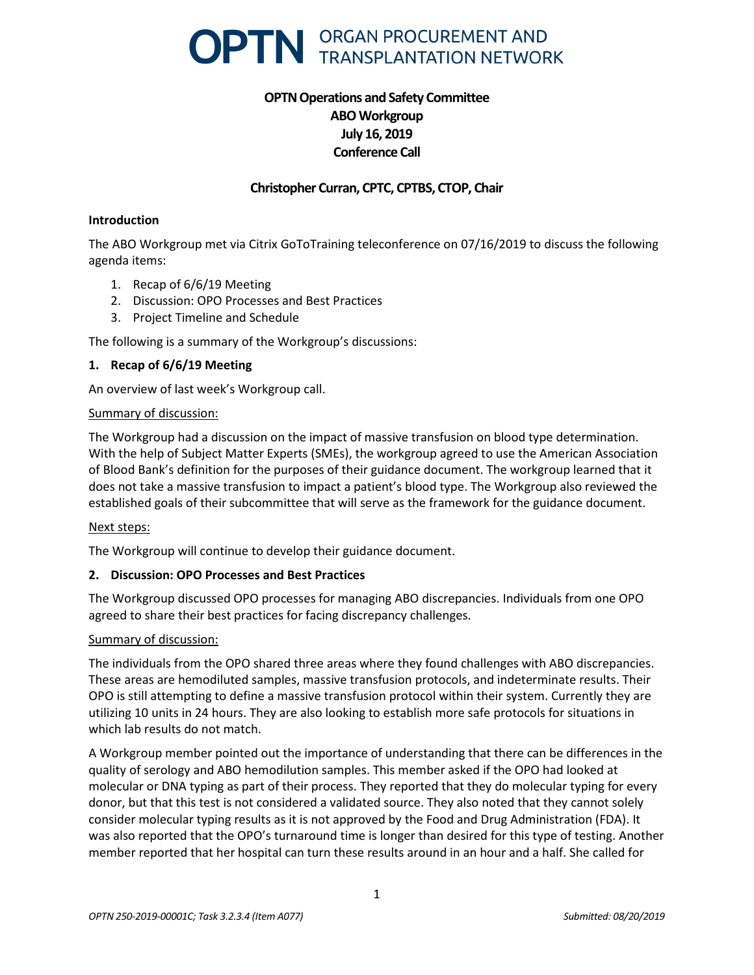

# **OPTN Operations and Safety Committee ABO Workgroup July 16, 2019 Conference Call**

## **Christopher Curran, CPTC, CPTBS, CTOP, Chair**

#### **Introduction**

The ABO Workgroup met via Citrix GoToTraining teleconference on 07/16/2019 to discuss the following agenda items:

- 1. Recap of 6/6/19 Meeting
- 2. Discussion: OPO Processes and Best Practices
- 3. Project Timeline and Schedule

The following is a summary of the Workgroup's discussions:

### **1. Recap of 6/6/19 Meeting**

An overview of last week's Workgroup call.

### Summary of discussion:

The Workgroup had a discussion on the impact of massive transfusion on blood type determination. With the help of Subject Matter Experts (SMEs), the workgroup agreed to use the American Association of Blood Bank's definition for the purposes of their guidance document. The workgroup learned that it does not take a massive transfusion to impact a patient's blood type. The Workgroup also reviewed the established goals of their subcommittee that will serve as the framework for the guidance document.

#### Next steps:

The Workgroup will continue to develop their guidance document.

### **2. Discussion: OPO Processes and Best Practices**

The Workgroup discussed OPO processes for managing ABO discrepancies. Individuals from one OPO agreed to share their best practices for facing discrepancy challenges.

### Summary of discussion:

The individuals from the OPO shared three areas where they found challenges with ABO discrepancies. These areas are hemodiluted samples, massive transfusion protocols, and indeterminate results. Their OPO is still attempting to define a massive transfusion protocol within their system. Currently they are utilizing 10 units in 24 hours. They are also looking to establish more safe protocols for situations in which lab results do not match.

A Workgroup member pointed out the importance of understanding that there can be differences in the quality of serology and ABO hemodilution samples. This member asked if the OPO had looked at molecular or DNA typing as part of their process. They reported that they do molecular typing for every donor, but that this test is not considered a validated source. They also noted that they cannot solely consider molecular typing results as it is not approved by the Food and Drug Administration (FDA). It was also reported that the OPO's turnaround time is longer than desired for this type of testing. Another member reported that her hospital can turn these results around in an hour and a half. She called for